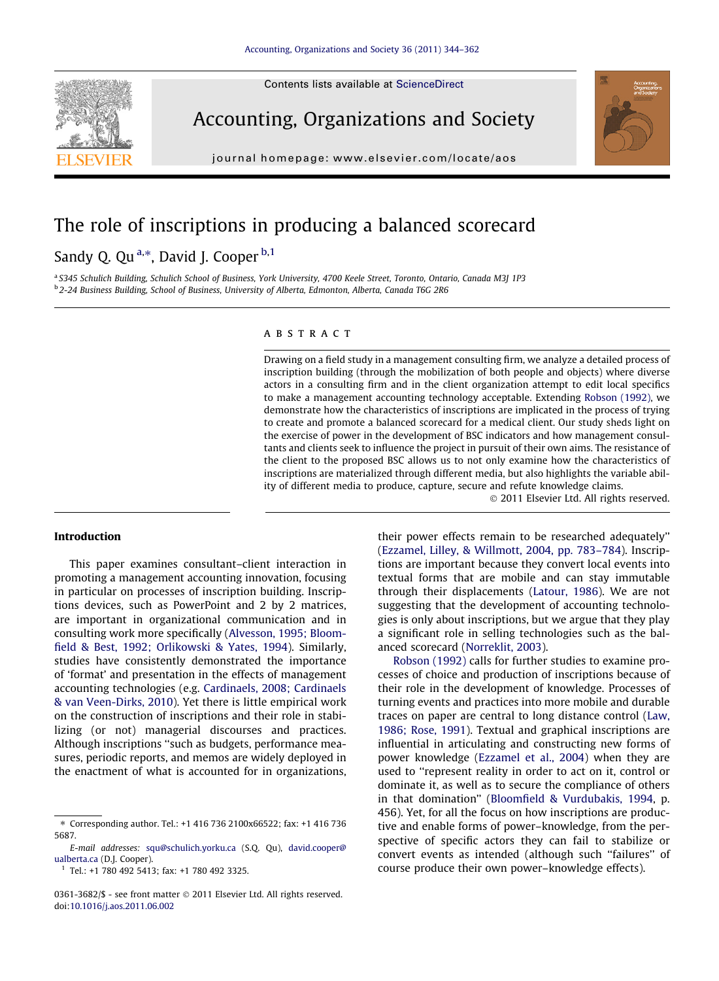Contents lists available at [ScienceDirect](http://www.sciencedirect.com/science/journal/03613682)



Accounting, Organizations and Society



# The role of inscriptions in producing a balanced scorecard

### Sandy Q. Qu<sup>a,\*</sup>, David J. Cooper <sup>b,1</sup>

a S345 Schulich Building, Schulich School of Business, York University, 4700 Keele Street, Toronto, Ontario, Canada M3J 1P3 <sup>b</sup> 2-24 Business Building, School of Business, University of Alberta, Edmonton, Alberta, Canada T6G 2R6

#### ABSTRACT

Drawing on a field study in a management consulting firm, we analyze a detailed process of inscription building (through the mobilization of both people and objects) where diverse actors in a consulting firm and in the client organization attempt to edit local specifics to make a management accounting technology acceptable. Extending [Robson \(1992\),](#page--1-0) we demonstrate how the characteristics of inscriptions are implicated in the process of trying to create and promote a balanced scorecard for a medical client. Our study sheds light on the exercise of power in the development of BSC indicators and how management consultants and clients seek to influence the project in pursuit of their own aims. The resistance of the client to the proposed BSC allows us to not only examine how the characteristics of inscriptions are materialized through different media, but also highlights the variable ability of different media to produce, capture, secure and refute knowledge claims.

- 2011 Elsevier Ltd. All rights reserved.

#### Introduction

This paper examines consultant–client interaction in promoting a management accounting innovation, focusing in particular on processes of inscription building. Inscriptions devices, such as PowerPoint and 2 by 2 matrices, are important in organizational communication and in consulting work more specifically [\(Alvesson, 1995; Bloom](#page--1-0)[field & Best, 1992; Orlikowski & Yates, 1994\)](#page--1-0). Similarly, studies have consistently demonstrated the importance of 'format' and presentation in the effects of management accounting technologies (e.g. [Cardinaels, 2008; Cardinaels](#page--1-0) [& van Veen-Dirks, 2010\)](#page--1-0). Yet there is little empirical work on the construction of inscriptions and their role in stabilizing (or not) managerial discourses and practices. Although inscriptions ''such as budgets, performance measures, periodic reports, and memos are widely deployed in the enactment of what is accounted for in organizations,

their power effects remain to be researched adequately'' [\(Ezzamel, Lilley, & Willmott, 2004, pp. 783–784](#page--1-0)). Inscriptions are important because they convert local events into textual forms that are mobile and can stay immutable through their displacements ([Latour, 1986](#page--1-0)). We are not suggesting that the development of accounting technologies is only about inscriptions, but we argue that they play a significant role in selling technologies such as the balanced scorecard ([Norreklit, 2003](#page--1-0)).

[Robson \(1992\)](#page--1-0) calls for further studies to examine processes of choice and production of inscriptions because of their role in the development of knowledge. Processes of turning events and practices into more mobile and durable traces on paper are central to long distance control [\(Law,](#page--1-0) [1986; Rose, 1991](#page--1-0)). Textual and graphical inscriptions are influential in articulating and constructing new forms of power knowledge ([Ezzamel et al., 2004\)](#page--1-0) when they are used to ''represent reality in order to act on it, control or dominate it, as well as to secure the compliance of others in that domination'' ([Bloomfield & Vurdubakis, 1994,](#page--1-0) p. 456). Yet, for all the focus on how inscriptions are productive and enable forms of power–knowledge, from the perspective of specific actors they can fail to stabilize or convert events as intended (although such ''failures'' of course produce their own power–knowledge effects).

<sup>⇑</sup> Corresponding author. Tel.: +1 416 736 2100x66522; fax: +1 416 736 5687.

E-mail addresses: [squ@schulich.yorku.ca](mailto:squ@schulich.yorku.ca) (S.Q. Qu), [david.cooper@](mailto:david.cooper@ ualberta.ca) [ualberta.ca](mailto:david.cooper@ ualberta.ca) (D.J. Cooper).

<sup>1</sup> Tel.: +1 780 492 5413; fax: +1 780 492 3325.

<sup>0361-3682/\$ -</sup> see front matter © 2011 Elsevier Ltd. All rights reserved. doi[:10.1016/j.aos.2011.06.002](http://dx.doi.org/10.1016/j.aos.2011.06.002)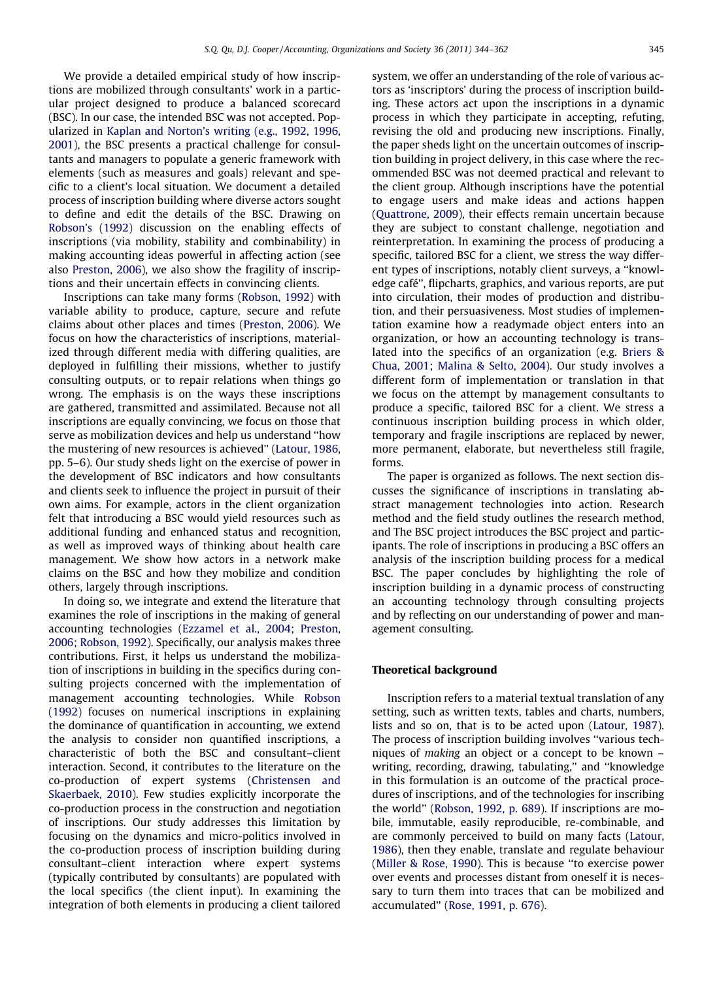We provide a detailed empirical study of how inscriptions are mobilized through consultants' work in a particular project designed to produce a balanced scorecard (BSC). In our case, the intended BSC was not accepted. Popularized in [Kaplan and Norton's writing \(e.g., 1992, 1996,](#page--1-0) [2001\),](#page--1-0) the BSC presents a practical challenge for consultants and managers to populate a generic framework with elements (such as measures and goals) relevant and specific to a client's local situation. We document a detailed process of inscription building where diverse actors sought to define and edit the details of the BSC. Drawing on [Robson's \(1992\)](#page--1-0) discussion on the enabling effects of inscriptions (via mobility, stability and combinability) in making accounting ideas powerful in affecting action (see also [Preston, 2006](#page--1-0)), we also show the fragility of inscriptions and their uncertain effects in convincing clients.

Inscriptions can take many forms [\(Robson, 1992\)](#page--1-0) with variable ability to produce, capture, secure and refute claims about other places and times [\(Preston, 2006\)](#page--1-0). We focus on how the characteristics of inscriptions, materialized through different media with differing qualities, are deployed in fulfilling their missions, whether to justify consulting outputs, or to repair relations when things go wrong. The emphasis is on the ways these inscriptions are gathered, transmitted and assimilated. Because not all inscriptions are equally convincing, we focus on those that serve as mobilization devices and help us understand ''how the mustering of new resources is achieved'' ([Latour, 1986](#page--1-0), pp. 5–6). Our study sheds light on the exercise of power in the development of BSC indicators and how consultants and clients seek to influence the project in pursuit of their own aims. For example, actors in the client organization felt that introducing a BSC would yield resources such as additional funding and enhanced status and recognition, as well as improved ways of thinking about health care management. We show how actors in a network make claims on the BSC and how they mobilize and condition others, largely through inscriptions.

In doing so, we integrate and extend the literature that examines the role of inscriptions in the making of general accounting technologies [\(Ezzamel et al., 2004; Preston,](#page--1-0) [2006; Robson, 1992](#page--1-0)). Specifically, our analysis makes three contributions. First, it helps us understand the mobilization of inscriptions in building in the specifics during consulting projects concerned with the implementation of management accounting technologies. While [Robson](#page--1-0) [\(1992\)](#page--1-0) focuses on numerical inscriptions in explaining the dominance of quantification in accounting, we extend the analysis to consider non quantified inscriptions, a characteristic of both the BSC and consultant–client interaction. Second, it contributes to the literature on the co-production of expert systems ([Christensen and](#page--1-0) [Skaerbaek, 2010](#page--1-0)). Few studies explicitly incorporate the co-production process in the construction and negotiation of inscriptions. Our study addresses this limitation by focusing on the dynamics and micro-politics involved in the co-production process of inscription building during consultant–client interaction where expert systems (typically contributed by consultants) are populated with the local specifics (the client input). In examining the integration of both elements in producing a client tailored system, we offer an understanding of the role of various actors as 'inscriptors' during the process of inscription building. These actors act upon the inscriptions in a dynamic process in which they participate in accepting, refuting, revising the old and producing new inscriptions. Finally, the paper sheds light on the uncertain outcomes of inscription building in project delivery, in this case where the recommended BSC was not deemed practical and relevant to the client group. Although inscriptions have the potential to engage users and make ideas and actions happen [\(Quattrone, 2009](#page--1-0)), their effects remain uncertain because they are subject to constant challenge, negotiation and reinterpretation. In examining the process of producing a specific, tailored BSC for a client, we stress the way different types of inscriptions, notably client surveys, a ''knowledge café'', flipcharts, graphics, and various reports, are put into circulation, their modes of production and distribution, and their persuasiveness. Most studies of implementation examine how a readymade object enters into an organization, or how an accounting technology is translated into the specifics of an organization (e.g. [Briers &](#page--1-0) [Chua, 2001](#page--1-0); [Malina & Selto, 2004](#page--1-0)). Our study involves a different form of implementation or translation in that we focus on the attempt by management consultants to produce a specific, tailored BSC for a client. We stress a continuous inscription building process in which older, temporary and fragile inscriptions are replaced by newer, more permanent, elaborate, but nevertheless still fragile, forms.

The paper is organized as follows. The next section discusses the significance of inscriptions in translating abstract management technologies into action. Research method and the field study outlines the research method, and The BSC project introduces the BSC project and participants. The role of inscriptions in producing a BSC offers an analysis of the inscription building process for a medical BSC. The paper concludes by highlighting the role of inscription building in a dynamic process of constructing an accounting technology through consulting projects and by reflecting on our understanding of power and management consulting.

#### Theoretical background

Inscription refers to a material textual translation of any setting, such as written texts, tables and charts, numbers, lists and so on, that is to be acted upon [\(Latour, 1987](#page--1-0)). The process of inscription building involves ''various techniques of making an object or a concept to be known – writing, recording, drawing, tabulating,'' and ''knowledge in this formulation is an outcome of the practical procedures of inscriptions, and of the technologies for inscribing the world'' [\(Robson, 1992, p. 689](#page--1-0)). If inscriptions are mobile, immutable, easily reproducible, re-combinable, and are commonly perceived to build on many facts ([Latour,](#page--1-0) [1986\)](#page--1-0), then they enable, translate and regulate behaviour [\(Miller & Rose, 1990](#page--1-0)). This is because ''to exercise power over events and processes distant from oneself it is necessary to turn them into traces that can be mobilized and accumulated'' ([Rose, 1991, p. 676](#page--1-0)).